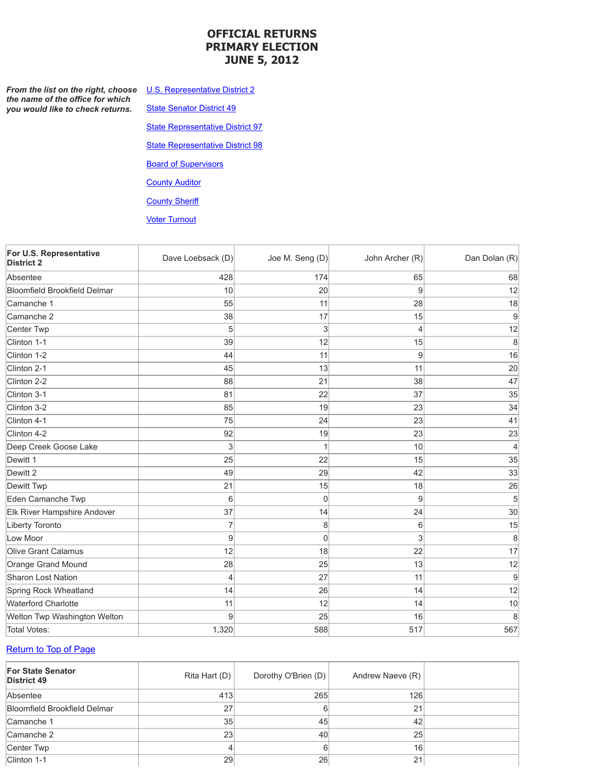#### <span id="page-0-2"></span>**OFFICIAL RETURNS PRIMARY ELECTION JUNE 5, 2012**

**From the list on the right, choose** the name of the office for which *you would like to check returns.*

**State Senator District 49** 

**U.S. Representative District 2** 

**State Representative District 97** 

**State Representative District 98** 

**Board of Supervisors** 

**County Auditor** 

**County Sheriff** 

**Voter Turnout** 

<span id="page-0-0"></span>

| For U.S. Representative<br><b>District 2</b> | Dave Loebsack (D) | Joe M. Seng (D) | John Archer (R) | Dan Dolan (R) |
|----------------------------------------------|-------------------|-----------------|-----------------|---------------|
| Absentee                                     | 428               | 174             | 65              | 68            |
| <b>Bloomfield Brookfield Delmar</b>          | 10                | 20              | 9               | 12            |
| Camanche 1                                   | 55                | 11              | 28              | 18            |
| Camanche 2                                   | 38                | 17              | 15              | 9             |
| Center Twp                                   | 5                 | 3               | 4               | 12            |
| Clinton 1-1                                  | 39                | 12              | 15              | 8             |
| Clinton 1-2                                  | 44                | 11              | 9               | 16            |
| Clinton 2-1                                  | 45                | 13              | 11              | 20            |
| Clinton 2-2                                  | 88                | 21              | 38              | 47            |
| Clinton 3-1                                  | 81                | 22              | 37              | 35            |
| Clinton 3-2                                  | 85                | 19              | 23              | 34            |
| Clinton 4-1                                  | 75                | 24              | 23              | 41            |
| Clinton 4-2                                  | 92                | 19              | 23              | 23            |
| Deep Creek Goose Lake                        | 3                 | 1               | 10              | 4             |
| Dewitt 1                                     | 25                | 22              | 15              | 35            |
| Dewitt 2                                     | 49                | 29              | 42              | 33            |
| Dewitt Twp                                   | 21                | 15              | 18              | 26            |
| Eden Camanche Twp                            | 6                 | 0               | 9               | 5             |
| Elk River Hampshire Andover                  | 37                | 14              | 24              | 30            |
| Liberty Toronto                              | $\overline{7}$    | 8               | 6               | 15            |
| Low Moor                                     | 9                 | 0               | 3               | 8             |
| Olive Grant Calamus                          | 12                | 18              | 22              | 17            |
| Orange Grand Mound                           | 28                | 25              | 13              | 12            |
| Sharon Lost Nation                           | $\overline{4}$    | 27              | 11              | 9             |
| Spring Rock Wheatland                        | 14                | 26              | 14              | 12            |
| <b>Waterford Charlotte</b>                   | 11                | 12              | 14              | 10            |
| Welton Twp Washington Welton                 | 9                 | 25              | 16              | 8             |
| <b>Total Votes:</b>                          | 1,320             | 588             | 517             | 567           |

#### [Return](#page-0-2) to Top of Page

<span id="page-0-1"></span>

| <b>For State Senator</b><br><b>District 49</b> | Rita Hart (D) | Dorothy O'Brien (D) | Andrew Naeve (R) |  |
|------------------------------------------------|---------------|---------------------|------------------|--|
| Absentee                                       | 413           | 265                 | 126              |  |
| <b>Bloomfield Brookfield Delmar</b>            | 27            | 6                   | 21               |  |
| Camanche 1                                     | 35            | 45                  | 42               |  |
| Camanche 2                                     | 23            | 40                  | 25               |  |
| Center Twp                                     |               | 6                   | 16               |  |
| Clinton 1-1                                    | 29            | 26                  | 21               |  |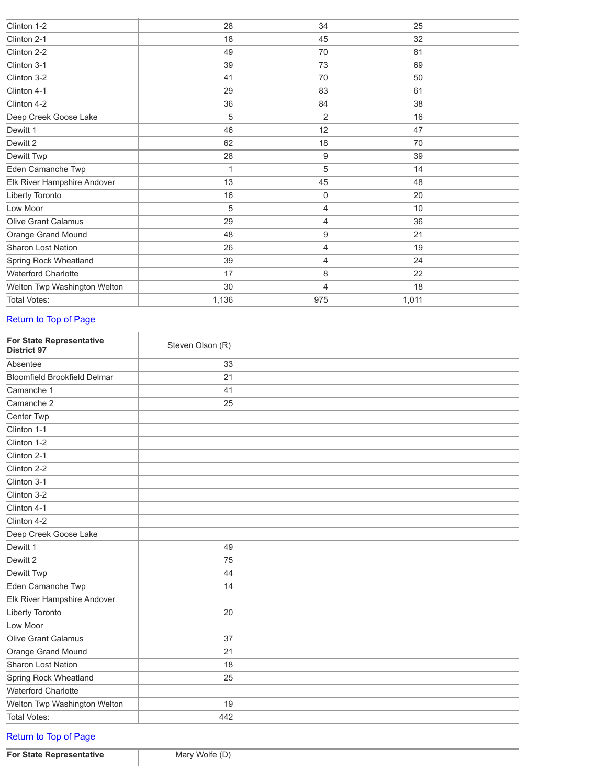| 28    | 34 | 25    |     |
|-------|----|-------|-----|
| 18    | 45 | 32    |     |
| 49    | 70 | 81    |     |
| 39    | 73 | 69    |     |
| 41    | 70 | 50    |     |
| 29    | 83 | 61    |     |
| 36    | 84 | 38    |     |
| 5     | 2  | 16    |     |
| 46    | 12 | 47    |     |
| 62    | 18 | 70    |     |
| 28    | 9  | 39    |     |
| 1     | 5  | 14    |     |
| 13    | 45 | 48    |     |
| 16    | 0  | 20    |     |
| 5     | 4  | 10    |     |
| 29    | 4  | 36    |     |
| 48    | 9  | 21    |     |
| 26    | 4  | 19    |     |
| 39    | 4  | 24    |     |
| 17    | 8  | 22    |     |
| 30    | 4  | 18    |     |
| 1,136 |    | 1,011 |     |
|       |    |       | 975 |

#### Return to [To](#page-0-2)p of Page

<span id="page-1-0"></span>

| <b>For State Representative</b><br><b>District 97</b> | Steven Olson (R) |  |  |
|-------------------------------------------------------|------------------|--|--|
| Absentee                                              | 33               |  |  |
| <b>Bloomfield Brookfield Delmar</b>                   | 21               |  |  |
| Camanche 1                                            | 41               |  |  |
| Camanche 2                                            | 25               |  |  |
| Center Twp                                            |                  |  |  |
| Clinton 1-1                                           |                  |  |  |
| Clinton 1-2                                           |                  |  |  |
| Clinton 2-1                                           |                  |  |  |
| Clinton 2-2                                           |                  |  |  |
| Clinton 3-1                                           |                  |  |  |
| Clinton 3-2                                           |                  |  |  |
| Clinton 4-1                                           |                  |  |  |
| Clinton 4-2                                           |                  |  |  |
| Deep Creek Goose Lake                                 |                  |  |  |
| Dewitt 1                                              | 49               |  |  |
| Dewitt 2                                              | 75               |  |  |
| Dewitt Twp                                            | 44               |  |  |
| Eden Camanche Twp                                     | 14               |  |  |
| Elk River Hampshire Andover                           |                  |  |  |
| Liberty Toronto                                       | 20               |  |  |
| Low Moor                                              |                  |  |  |
| Olive Grant Calamus                                   | 37               |  |  |
| Orange Grand Mound                                    | 21               |  |  |
| <b>Sharon Lost Nation</b>                             | 18               |  |  |
| Spring Rock Wheatland                                 | 25               |  |  |
| <b>Waterford Charlotte</b>                            |                  |  |  |
| Welton Twp Washington Welton                          | 19               |  |  |
| <b>Total Votes:</b>                                   | 442              |  |  |

### [Return](#page-0-2) to Top of Page

<span id="page-1-1"></span>**For State Representative** Mary Wolfe (D)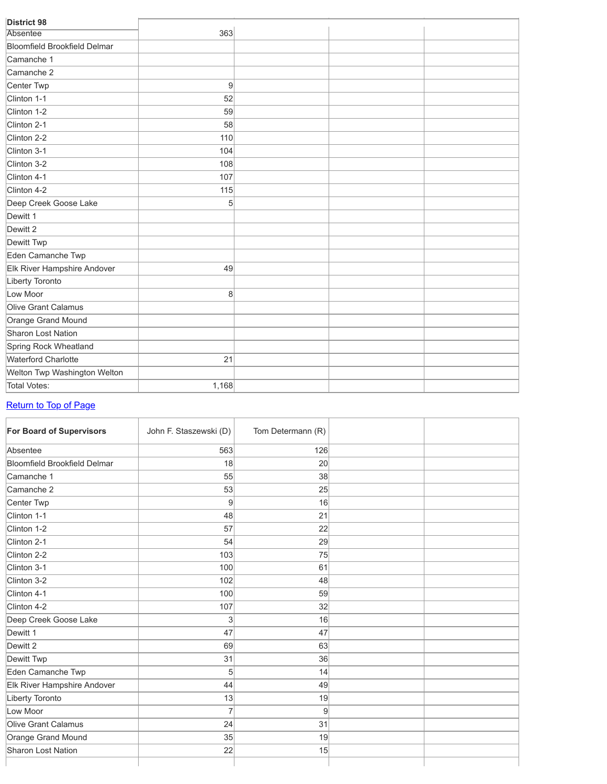| <b>District 98</b>                  |       |  |  |
|-------------------------------------|-------|--|--|
| <b>Absentee</b>                     | 363   |  |  |
| <b>Bloomfield Brookfield Delmar</b> |       |  |  |
| Camanche 1                          |       |  |  |
| Camanche 2                          |       |  |  |
| Center Twp                          | 9     |  |  |
| Clinton 1-1                         | 52    |  |  |
| Clinton 1-2                         | 59    |  |  |
| Clinton 2-1                         | 58    |  |  |
| Clinton 2-2                         | 110   |  |  |
| Clinton 3-1                         | 104   |  |  |
| Clinton 3-2                         | 108   |  |  |
| Clinton 4-1                         | 107   |  |  |
| Clinton 4-2                         | 115   |  |  |
| Deep Creek Goose Lake               | 5     |  |  |
| Dewitt 1                            |       |  |  |
| Dewitt 2                            |       |  |  |
| Dewitt Twp                          |       |  |  |
| Eden Camanche Twp                   |       |  |  |
| Elk River Hampshire Andover         | 49    |  |  |
| Liberty Toronto                     |       |  |  |
| Low Moor                            | 8     |  |  |
| <b>Olive Grant Calamus</b>          |       |  |  |
| Orange Grand Mound                  |       |  |  |
| <b>Sharon Lost Nation</b>           |       |  |  |
| Spring Rock Wheatland               |       |  |  |
| <b>Waterford Charlotte</b>          | 21    |  |  |
| Welton Twp Washington Welton        |       |  |  |
| <b>Total Votes:</b>                 | 1,168 |  |  |

## [Return](#page-0-2) to Top of Page

<span id="page-2-0"></span>

| <b>For Board of Supervisors</b>     | John F. Staszewski (D) | Tom Determann (R) |  |
|-------------------------------------|------------------------|-------------------|--|
| Absentee                            | 563                    | 126               |  |
| <b>Bloomfield Brookfield Delmar</b> | 18                     | 20                |  |
| Camanche 1                          | 55                     | 38                |  |
| Camanche 2                          | 53                     | 25                |  |
| Center Twp                          | 9                      | 16                |  |
| Clinton 1-1                         | 48                     | 21                |  |
| Clinton 1-2                         | 57                     | 22                |  |
| Clinton 2-1                         | 54                     | 29                |  |
| Clinton 2-2                         | 103                    | 75                |  |
| Clinton 3-1                         | 100                    | 61                |  |
| Clinton 3-2                         | 102                    | 48                |  |
| Clinton 4-1                         | 100                    | 59                |  |
| Clinton 4-2                         | 107                    | 32                |  |
| Deep Creek Goose Lake               | 3                      | 16                |  |
| Dewitt 1                            | 47                     | 47                |  |
| Dewitt 2                            | 69                     | 63                |  |
| Dewitt Twp                          | 31                     | 36                |  |
| Eden Camanche Twp                   | 5                      | 14                |  |
| Elk River Hampshire Andover         | 44                     | 49                |  |
| Liberty Toronto                     | 13                     | 19                |  |
| Low Moor                            | $\overline{7}$         | 9                 |  |
| Olive Grant Calamus                 | 24                     | 31                |  |
| Orange Grand Mound                  | 35                     | 19                |  |
| <b>Sharon Lost Nation</b>           | 22                     | 15                |  |
|                                     |                        |                   |  |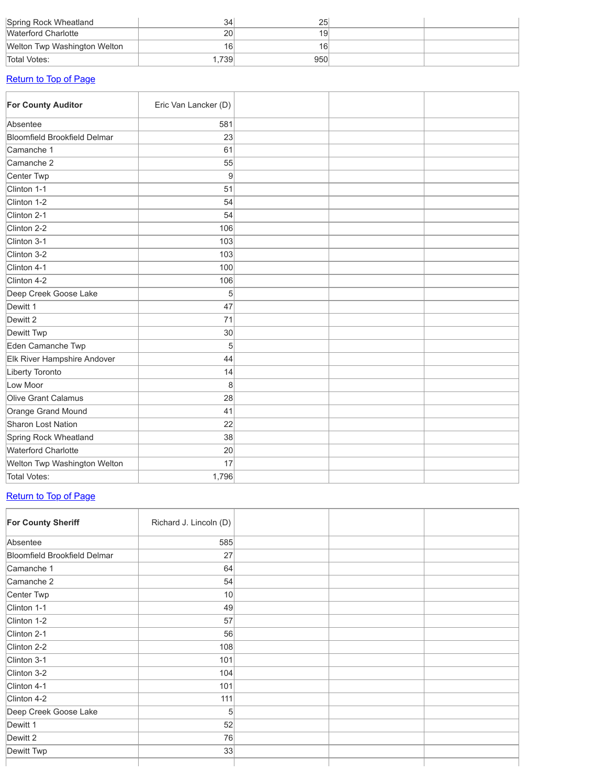| Spring Rock Wheatland        | 34              | 25              |  |
|------------------------------|-----------------|-----------------|--|
| <b>Waterford Charlotte</b>   | 20              | 19              |  |
| Welton Twp Washington Welton | 16 <sub>1</sub> | 16 <sub>1</sub> |  |
| Total Votes:                 | 1.739           | 950             |  |

#### [Return](#page-0-2) to Top of Page

<span id="page-3-0"></span>

| For County Auditor                  | Eric Van Lancker (D) |  |  |
|-------------------------------------|----------------------|--|--|
| Absentee                            | 581                  |  |  |
| <b>Bloomfield Brookfield Delmar</b> | 23                   |  |  |
| Camanche 1                          | 61                   |  |  |
| Camanche 2                          | 55                   |  |  |
| Center Twp                          | 9                    |  |  |
| Clinton 1-1                         | 51                   |  |  |
| Clinton 1-2                         | 54                   |  |  |
| Clinton 2-1                         | 54                   |  |  |
| Clinton 2-2                         | 106                  |  |  |
| Clinton 3-1                         | 103                  |  |  |
| Clinton 3-2                         | 103                  |  |  |
| Clinton 4-1                         | 100                  |  |  |
| Clinton 4-2                         | 106                  |  |  |
| Deep Creek Goose Lake               | 5                    |  |  |
| Dewitt 1                            | 47                   |  |  |
| Dewitt 2                            | 71                   |  |  |
| Dewitt Twp                          | 30                   |  |  |
| Eden Camanche Twp                   | 5                    |  |  |
| Elk River Hampshire Andover         | 44                   |  |  |
| Liberty Toronto                     | 14                   |  |  |
| Low Moor                            | 8                    |  |  |
| Olive Grant Calamus                 | 28                   |  |  |
| Orange Grand Mound                  | 41                   |  |  |
| Sharon Lost Nation                  | 22                   |  |  |
| Spring Rock Wheatland               | 38                   |  |  |
| <b>Waterford Charlotte</b>          | 20                   |  |  |
| Welton Twp Washington Welton        | 17                   |  |  |
| Total Votes:                        | 1,796                |  |  |

# [Return](#page-0-2) to Top of Page

<span id="page-3-1"></span>

| For County Sheriff           | Richard J. Lincoln (D) |  |  |
|------------------------------|------------------------|--|--|
| Absentee                     | 585                    |  |  |
| Bloomfield Brookfield Delmar | 27                     |  |  |
| Camanche 1                   | 64                     |  |  |
| Camanche 2                   | 54                     |  |  |
| Center Twp                   | 10 <sup>1</sup>        |  |  |
| Clinton 1-1                  | 49                     |  |  |
| Clinton 1-2                  | 57                     |  |  |
| Clinton 2-1                  | 56                     |  |  |
| Clinton 2-2                  | 108                    |  |  |
| Clinton 3-1                  | 101                    |  |  |
| Clinton 3-2                  | 104                    |  |  |
| Clinton 4-1                  | 101                    |  |  |
| Clinton 4-2                  | 111                    |  |  |
| Deep Creek Goose Lake        | 5                      |  |  |
| Dewitt 1                     | 52                     |  |  |
| Dewitt 2                     | 76                     |  |  |
| Dewitt Twp                   | 33                     |  |  |
|                              |                        |  |  |